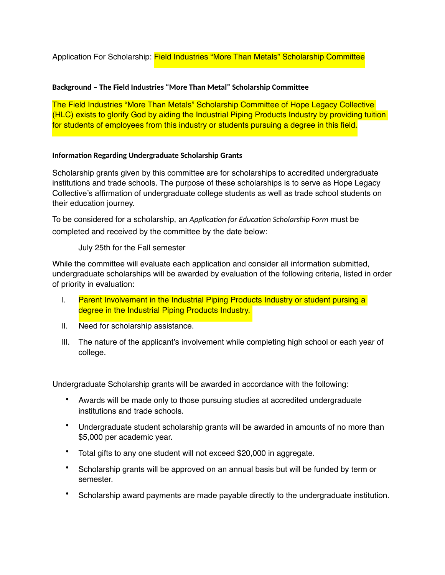Application For Scholarship: Field Industries "More Than Metals" Scholarship Committee

## **Background – The Field Industries "More Than Metal" Scholarship Committee**

The Field Industries "More Than Metals" Scholarship Committee of Hope Legacy Collective (HLC) exists to glorify God by aiding the Industrial Piping Products Industry by providing tuition for students of employees from this industry or students pursuing a degree in this field.

## **Information Regarding Undergraduate Scholarship Grants**

Scholarship grants given by this committee are for scholarships to accredited undergraduate institutions and trade schools. The purpose of these scholarships is to serve as Hope Legacy Collective's affirmation of undergraduate college students as well as trade school students on their education journey.

To be considered for a scholarship, an *Application for Education Scholarship Form* must be completed and received by the committee by the date below:

July 25th for the Fall semester

While the committee will evaluate each application and consider all information submitted, undergraduate scholarships will be awarded by evaluation of the following criteria, listed in order of priority in evaluation:

- I. Parent Involvement in the Industrial Piping Products Industry or student pursing a degree in the Industrial Piping Products Industry.
- II. Need for scholarship assistance.
- III. The nature of the applicant's involvement while completing high school or each year of college.

Undergraduate Scholarship grants will be awarded in accordance with the following:

- Awards will be made only to those pursuing studies at accredited undergraduate institutions and trade schools.
- Undergraduate student scholarship grants will be awarded in amounts of no more than \$5,000 per academic year.
- Total gifts to any one student will not exceed \$20,000 in aggregate.
- Scholarship grants will be approved on an annual basis but will be funded by term or semester.
- Scholarship award payments are made payable directly to the undergraduate institution.